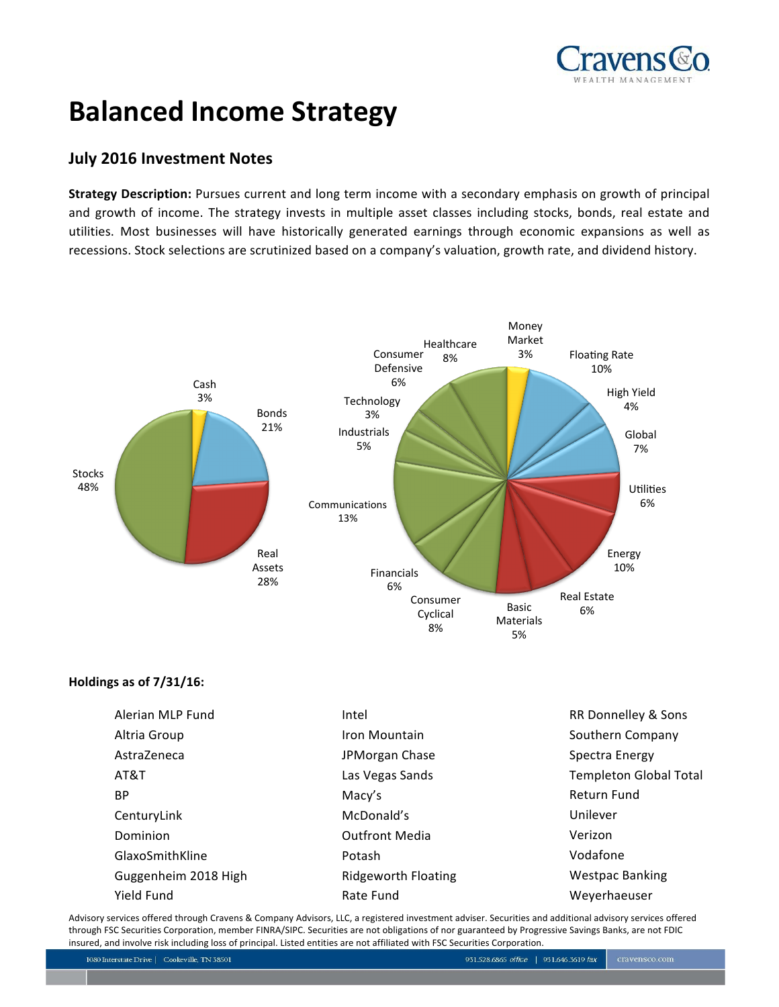

# **Balanced Income Strategy**

# **July 2016 Investment Notes**

**Strategy Description:** Pursues current and long term income with a secondary emphasis on growth of principal and growth of income. The strategy invests in multiple asset classes including stocks, bonds, real estate and utilities. Most businesses will have historically generated earnings through economic expansions as well as recessions. Stock selections are scrutinized based on a company's valuation, growth rate, and dividend history.



# **Holdings as of 7/31/16:**

| Alerian MLP Fund     | Intel                 | RR Donnelley & Sons           |
|----------------------|-----------------------|-------------------------------|
| Altria Group         | Iron Mountain         | Southern Company              |
| AstraZeneca          | JPMorgan Chase        | Spectra Energy                |
| AT&T                 | Las Vegas Sands       | <b>Templeton Global Total</b> |
| BP.                  | Macy's                | Return Fund                   |
| CenturyLink          | McDonald's            | Unilever                      |
| Dominion             | <b>Outfront Media</b> | Verizon                       |
| GlaxoSmithKline      | Potash                | Vodafone                      |
| Guggenheim 2018 High | Ridgeworth Floating   | <b>Westpac Banking</b>        |
| Yield Fund           | Rate Fund             | Weyerhaeuser                  |

Advisory services offered through Cravens & Company Advisors, LLC, a registered investment adviser. Securities and additional advisory services offered through FSC Securities Corporation, member FINRA/SIPC. Securities are not obligations of nor guaranteed by Progressive Savings Banks, are not FDIC insured, and involve risk including loss of principal. Listed entities are not affiliated with FSC Securities Corporation.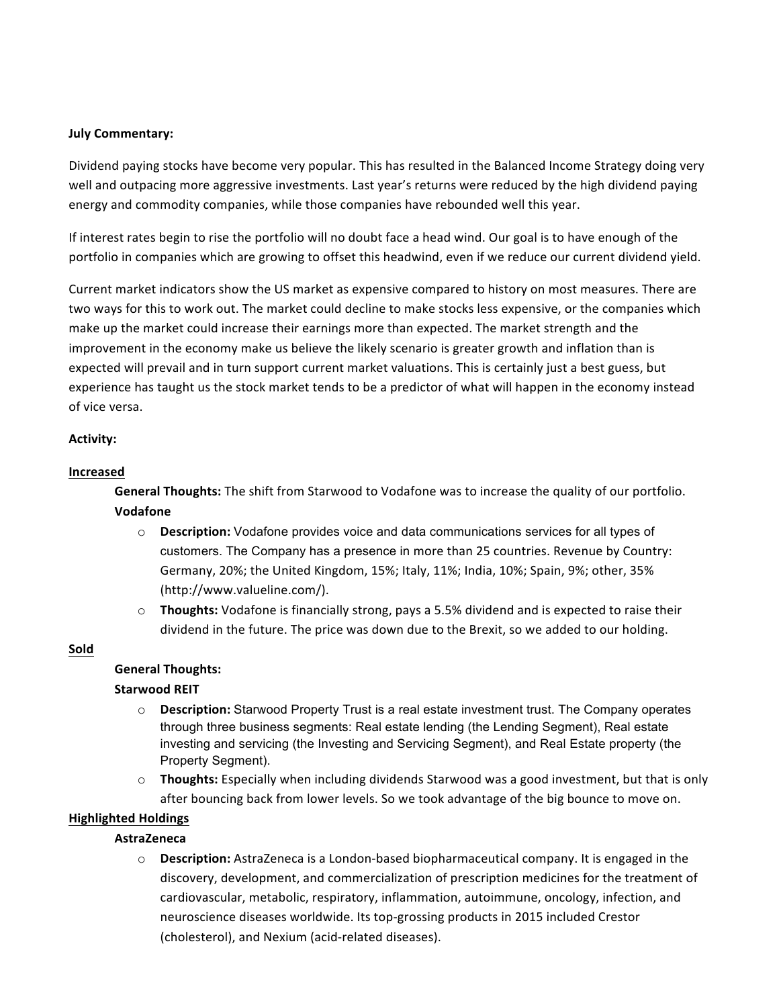### **July Commentary:**

Dividend paying stocks have become very popular. This has resulted in the Balanced Income Strategy doing very well and outpacing more aggressive investments. Last year's returns were reduced by the high dividend paying energy and commodity companies, while those companies have rebounded well this year.

If interest rates begin to rise the portfolio will no doubt face a head wind. Our goal is to have enough of the portfolio in companies which are growing to offset this headwind, even if we reduce our current dividend yield.

Current market indicators show the US market as expensive compared to history on most measures. There are two ways for this to work out. The market could decline to make stocks less expensive, or the companies which make up the market could increase their earnings more than expected. The market strength and the improvement in the economy make us believe the likely scenario is greater growth and inflation than is expected will prevail and in turn support current market valuations. This is certainly just a best guess, but experience has taught us the stock market tends to be a predictor of what will happen in the economy instead of vice versa.

### **Activity:**

### **Increased**

 **General Thoughts:** The shift from Starwood to Vodafone was to increase the quality of our portfolio. **Vodafone**

- o **Description:** Vodafone provides voice and data communications services for all types of customers. The Company has a presence in more than 25 countries. Revenue by Country: Germany, 20%; the United Kingdom, 15%; Italy, 11%; India, 10%; Spain, 9%; other, 35% (http://www.valueline.com/).
- o **Thoughts:** Vodafone is financially strong, pays a 5.5% dividend and is expected to raise their dividend in the future. The price was down due to the Brexit, so we added to our holding.

# **Sold**

# **General Thoughts:**

#### **Starwood REIT**

- o **Description:** Starwood Property Trust is a real estate investment trust. The Company operates through three business segments: Real estate lending (the Lending Segment), Real estate investing and servicing (the Investing and Servicing Segment), and Real Estate property (the Property Segment).
- o **Thoughts:** Especially when including dividends Starwood was a good investment, but that is only after bouncing back from lower levels. So we took advantage of the big bounce to move on.

# **Highlighted Holdings**

# **AstraZeneca**

o **Description:** AstraZeneca is a London-based biopharmaceutical company. It is engaged in the discovery, development, and commercialization of prescription medicines for the treatment of cardiovascular, metabolic, respiratory, inflammation, autoimmune, oncology, infection, and neuroscience diseases worldwide. Its top-grossing products in 2015 included Crestor (cholesterol), and Nexium (acid-related diseases).